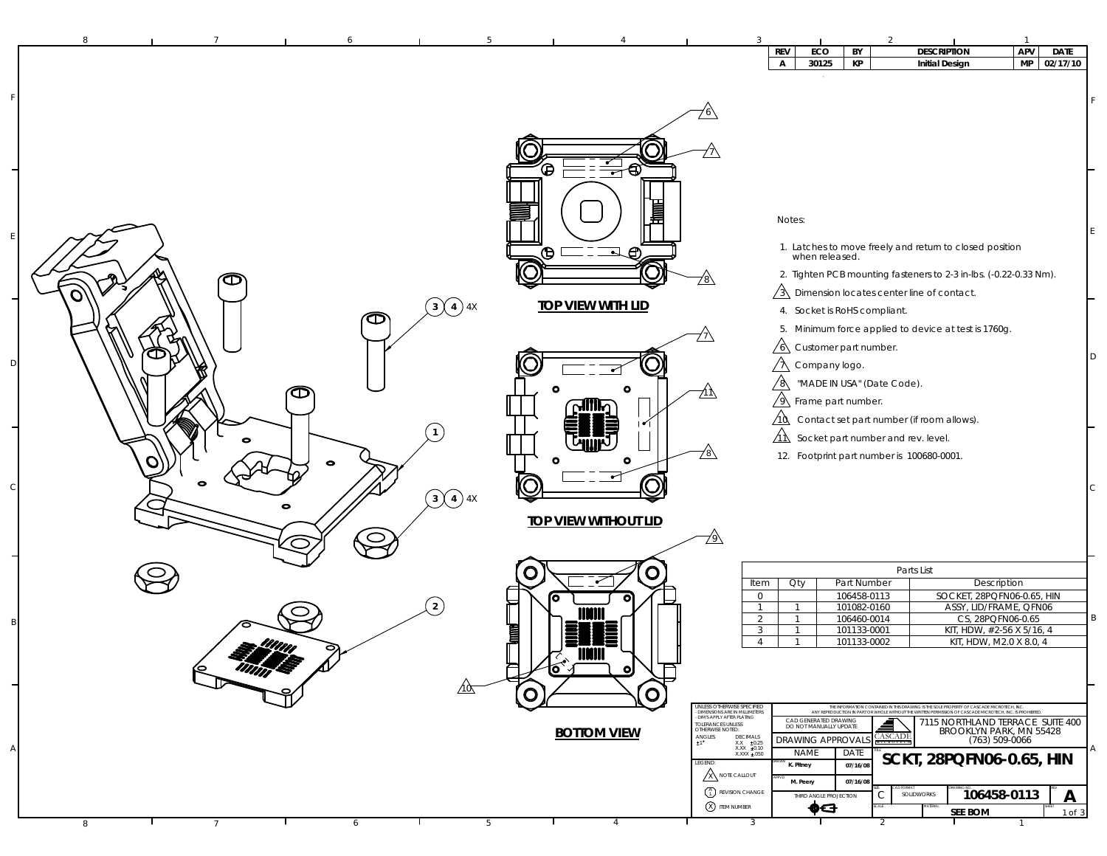| 8                           |                                                |                             | <b>REV</b>                                                                     | ECO<br>BY                                       | <b>DESCRIPTION</b>                                                                                                                                                                                     | APV                | <b>DATE</b> |
|-----------------------------|------------------------------------------------|-----------------------------|--------------------------------------------------------------------------------|-------------------------------------------------|--------------------------------------------------------------------------------------------------------------------------------------------------------------------------------------------------------|--------------------|-------------|
|                             |                                                |                             | A                                                                              | 30125<br>KP                                     | <b>Initial Design</b>                                                                                                                                                                                  | MP                 | 02/17/10    |
|                             |                                                |                             |                                                                                |                                                 |                                                                                                                                                                                                        |                    |             |
|                             |                                                |                             |                                                                                |                                                 |                                                                                                                                                                                                        |                    |             |
|                             |                                                |                             |                                                                                |                                                 |                                                                                                                                                                                                        |                    |             |
|                             |                                                |                             |                                                                                |                                                 |                                                                                                                                                                                                        |                    |             |
|                             |                                                | $\equiv$ o<br>Ô             |                                                                                |                                                 |                                                                                                                                                                                                        |                    |             |
|                             |                                                |                             |                                                                                |                                                 |                                                                                                                                                                                                        |                    |             |
|                             |                                                | 嘼                           |                                                                                | Notes:                                          |                                                                                                                                                                                                        |                    |             |
|                             |                                                | $\Box \oplus$<br>⊕          |                                                                                |                                                 | 1. Latches to move freely and return to closed position<br>when released.                                                                                                                              |                    |             |
|                             |                                                | J                           |                                                                                |                                                 | 2. Tighten PCB mounting fasteners to 2-3 in-lbs. (-0.22-0.33 Nm).                                                                                                                                      |                    |             |
| $\bm{\mathbb{\sigma}}$<br>O |                                                |                             | <u>78\</u>                                                                     |                                                 | $\sqrt{3}$ Dimension locates center line of contact.                                                                                                                                                   |                    |             |
|                             | $\binom{3}{4}$ 4X<br>本                         | <b>TOP VIEW WITH LID</b>    |                                                                                | 4. Socket is RoHS compliant.                    |                                                                                                                                                                                                        |                    |             |
|                             |                                                |                             |                                                                                | $\sqrt{6}$ Customer part number.                | 5. Minimum force applied to device at test is 1760g.                                                                                                                                                   |                    |             |
| Œ                           |                                                |                             |                                                                                | $\sqrt{\lambda}$ Company logo.                  |                                                                                                                                                                                                        |                    |             |
|                             |                                                |                             | $\sqrt{8}$                                                                     | "MADE IN USA" (Date Code).                      |                                                                                                                                                                                                        |                    |             |
| Œ                           |                                                | ๛๛                          | ΖlΛ                                                                            | $\sqrt{9}$ Frame part number.                   |                                                                                                                                                                                                        |                    |             |
|                             |                                                |                             | $\Delta$<br><u>AR</u>                                                          | Socket part number and rev. level.              | Contact set part number (if room allows).                                                                                                                                                              |                    |             |
| $\bullet$                   |                                                | $\circ$                     | <u>78\</u>                                                                     | 12. Footprint part number is 100680-0001.       |                                                                                                                                                                                                        |                    |             |
|                             | $\bullet$                                      |                             |                                                                                |                                                 |                                                                                                                                                                                                        |                    |             |
| 0                           | $\bigodot$ 4 4 4 4 4 $\overline{)}$ 4 $\times$ |                             |                                                                                |                                                 |                                                                                                                                                                                                        |                    |             |
|                             |                                                | <b>TOP VIEW WITHOUT LID</b> |                                                                                |                                                 |                                                                                                                                                                                                        |                    |             |
|                             | $\subset$                                      |                             | ∕े                                                                             |                                                 |                                                                                                                                                                                                        |                    |             |
|                             |                                                | O<br>O                      |                                                                                |                                                 | Parts List                                                                                                                                                                                             |                    |             |
|                             |                                                | ro                          | Item<br>$\mathbb O$                                                            | Part Number<br>Qty<br>106458-0113               | Description<br>SOCKET, 28PQFN06-0.65, HIN                                                                                                                                                              |                    |             |
|                             | 2                                              |                             | $\overline{1}$<br>2                                                            | 101082-0160<br>-1<br>106460-0014                | ASSY, LID/FRAME, QFN06<br>CS, 28PQFN06-0.65                                                                                                                                                            |                    |             |
|                             |                                                | <b>Tannel</b>               | 3<br>$\overline{4}$                                                            | 101133-0001<br>101133-0002<br>$\overline{1}$    | KIT, HDW, #2-56 X 5/16, 4<br>KIT, HDW, M2.0 X 8.0, 4                                                                                                                                                   |                    |             |
|                             | $\Delta'$                                      |                             |                                                                                |                                                 |                                                                                                                                                                                                        |                    |             |
| 师学                          | ∕10ς                                           | $\boldsymbol{\circ}$<br>o   |                                                                                |                                                 |                                                                                                                                                                                                        |                    |             |
|                             |                                                | O<br>Ő                      | UNLESS OTHERWISE SPECIFIED<br>- DIMENSIONS ARE IN MILLIMETERS                  |                                                 | THE INFORMATION CONTAINED IN THIS DRAWING IS THE SOLE PROPERTY OF CASCADE MICROTECH, INC.<br>ANY REPRODUCTION IN PART OR WHOLE WITHOUT THE WRITTEN PERMISSION OF CASCADE MICROTECH, INC. IS PROHIBITED |                    |             |
|                             |                                                | <b>BOTTOM VIEW</b>          | DIM'S APPLY AFTER PLATING<br>TOLERANCES UNLESS<br>OTHERWISE NOTED:<br>DECIMALS | CAD GENERATED DRAWING<br>DO NOT MANUALLY UPDATE | ≜<br>7115 NORTHLAND TERRACE SUITE 400<br>BROOKLYN PARK, MN 55428                                                                                                                                       |                    |             |
|                             |                                                |                             | $ANGLES$<br>$\pm 1$<br>$XX = 20.25$<br>XXX ±0.10                               | DRAWING APPROVAL<br><b>NAME</b><br>DATE         | <b>ASCADE</b><br><b>SCKT, 28PQFN06-0.65, HIN</b>                                                                                                                                                       | $(763) 509 - 0066$ |             |
|                             |                                                |                             | LEGEND:<br>ANOTE CALLOUT                                                       | 07/16/08<br>K. Pitney<br>M. Peery<br>07/16/08   |                                                                                                                                                                                                        |                    |             |
|                             |                                                |                             | $\binom{A}{1}$ REVISION CHANGE<br>X ITEM NUMBER                                | $\mathsf{C}$<br>THIRD ANGLE PROJECTION          | SOLIDWORKS                                                                                                                                                                                             | 106458-0113        | A           |
| 8<br>$\overline{7}$         | 6                                              | $\overline{4}$<br>5         | 3                                                                              | ⊕⊖                                              | <b>SEE BOM</b>                                                                                                                                                                                         |                    | $1$ of $3$  |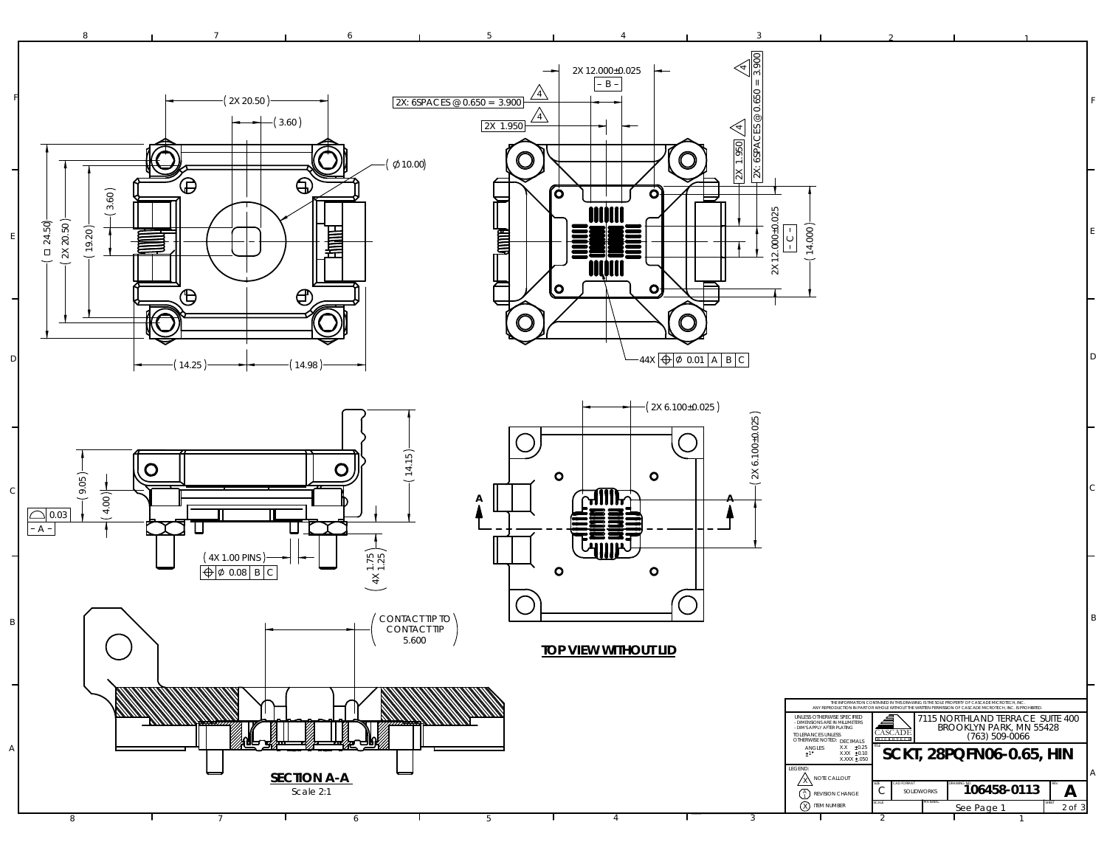